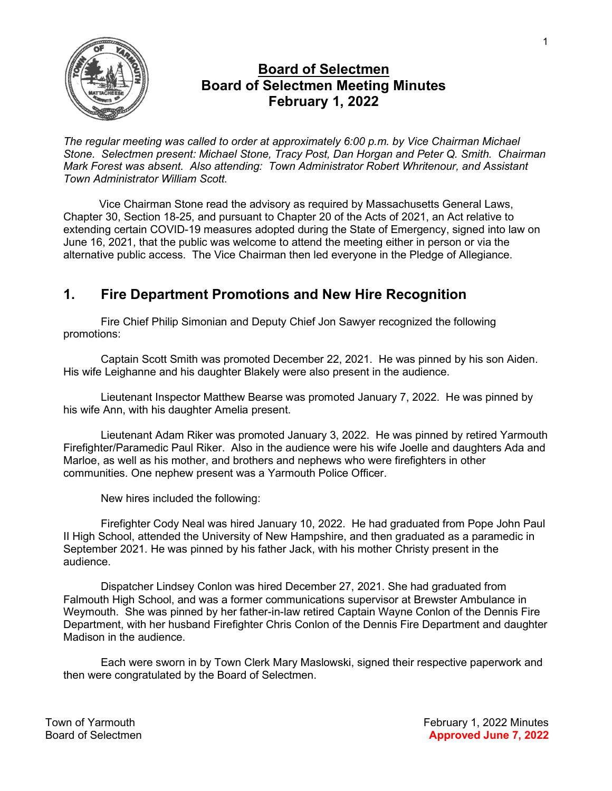

## Board of Selectmen Board of Selectmen Meeting Minutes February 1, 2022

The regular meeting was called to order at approximately 6:00 p.m. by Vice Chairman Michael Stone. Selectmen present: Michael Stone, Tracy Post, Dan Horgan and Peter Q. Smith. Chairman Mark Forest was absent. Also attending: Town Administrator Robert Whritenour, and Assistant Town Administrator William Scott.

Vice Chairman Stone read the advisory as required by Massachusetts General Laws, Chapter 30, Section 18-25, and pursuant to Chapter 20 of the Acts of 2021, an Act relative to extending certain COVID-19 measures adopted during the State of Emergency, signed into law on June 16, 2021, that the public was welcome to attend the meeting either in person or via the alternative public access. The Vice Chairman then led everyone in the Pledge of Allegiance.

# 1. Fire Department Promotions and New Hire Recognition

Fire Chief Philip Simonian and Deputy Chief Jon Sawyer recognized the following promotions:

Captain Scott Smith was promoted December 22, 2021. He was pinned by his son Aiden. His wife Leighanne and his daughter Blakely were also present in the audience.

Lieutenant Inspector Matthew Bearse was promoted January 7, 2022. He was pinned by his wife Ann, with his daughter Amelia present.

Lieutenant Adam Riker was promoted January 3, 2022. He was pinned by retired Yarmouth Firefighter/Paramedic Paul Riker. Also in the audience were his wife Joelle and daughters Ada and Marloe, as well as his mother, and brothers and nephews who were firefighters in other communities. One nephew present was a Yarmouth Police Officer.

New hires included the following:

Firefighter Cody Neal was hired January 10, 2022. He had graduated from Pope John Paul II High School, attended the University of New Hampshire, and then graduated as a paramedic in September 2021. He was pinned by his father Jack, with his mother Christy present in the audience.

Dispatcher Lindsey Conlon was hired December 27, 2021. She had graduated from Falmouth High School, and was a former communications supervisor at Brewster Ambulance in Weymouth. She was pinned by her father-in-law retired Captain Wayne Conlon of the Dennis Fire Department, with her husband Firefighter Chris Conlon of the Dennis Fire Department and daughter Madison in the audience.

Each were sworn in by Town Clerk Mary Maslowski, signed their respective paperwork and then were congratulated by the Board of Selectmen.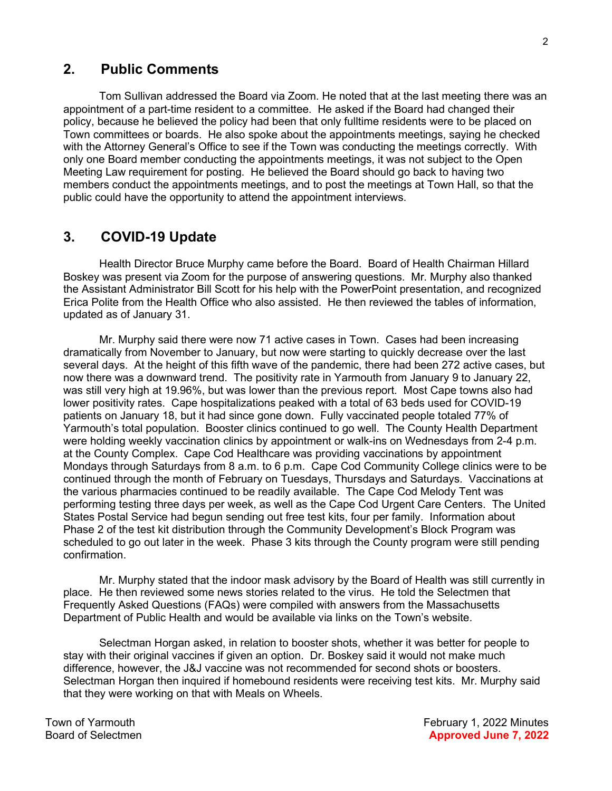### 2. Public Comments

Tom Sullivan addressed the Board via Zoom. He noted that at the last meeting there was an appointment of a part-time resident to a committee. He asked if the Board had changed their policy, because he believed the policy had been that only fulltime residents were to be placed on Town committees or boards. He also spoke about the appointments meetings, saying he checked with the Attorney General's Office to see if the Town was conducting the meetings correctly. With only one Board member conducting the appointments meetings, it was not subject to the Open Meeting Law requirement for posting. He believed the Board should go back to having two members conduct the appointments meetings, and to post the meetings at Town Hall, so that the public could have the opportunity to attend the appointment interviews.

### 3. COVID-19 Update

Health Director Bruce Murphy came before the Board. Board of Health Chairman Hillard Boskey was present via Zoom for the purpose of answering questions. Mr. Murphy also thanked the Assistant Administrator Bill Scott for his help with the PowerPoint presentation, and recognized Erica Polite from the Health Office who also assisted. He then reviewed the tables of information, updated as of January 31.

Mr. Murphy said there were now 71 active cases in Town. Cases had been increasing dramatically from November to January, but now were starting to quickly decrease over the last several days. At the height of this fifth wave of the pandemic, there had been 272 active cases, but now there was a downward trend. The positivity rate in Yarmouth from January 9 to January 22, was still very high at 19.96%, but was lower than the previous report. Most Cape towns also had lower positivity rates. Cape hospitalizations peaked with a total of 63 beds used for COVID-19 patients on January 18, but it had since gone down. Fully vaccinated people totaled 77% of Yarmouth's total population. Booster clinics continued to go well. The County Health Department were holding weekly vaccination clinics by appointment or walk-ins on Wednesdays from 2-4 p.m. at the County Complex. Cape Cod Healthcare was providing vaccinations by appointment Mondays through Saturdays from 8 a.m. to 6 p.m. Cape Cod Community College clinics were to be continued through the month of February on Tuesdays, Thursdays and Saturdays. Vaccinations at the various pharmacies continued to be readily available. The Cape Cod Melody Tent was performing testing three days per week, as well as the Cape Cod Urgent Care Centers. The United States Postal Service had begun sending out free test kits, four per family. Information about Phase 2 of the test kit distribution through the Community Development's Block Program was scheduled to go out later in the week. Phase 3 kits through the County program were still pending confirmation.

Mr. Murphy stated that the indoor mask advisory by the Board of Health was still currently in place. He then reviewed some news stories related to the virus. He told the Selectmen that Frequently Asked Questions (FAQs) were compiled with answers from the Massachusetts Department of Public Health and would be available via links on the Town's website.

Selectman Horgan asked, in relation to booster shots, whether it was better for people to stay with their original vaccines if given an option. Dr. Boskey said it would not make much difference, however, the J&J vaccine was not recommended for second shots or boosters. Selectman Horgan then inquired if homebound residents were receiving test kits. Mr. Murphy said that they were working on that with Meals on Wheels.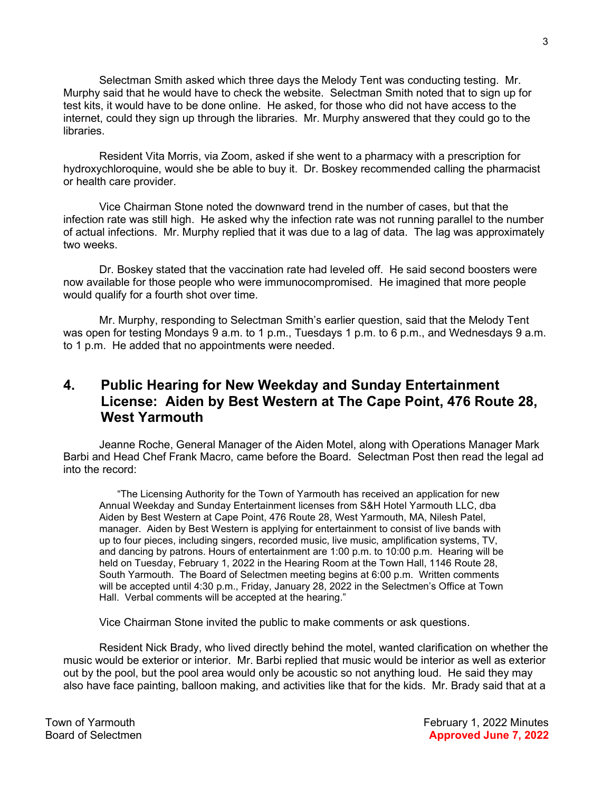Selectman Smith asked which three days the Melody Tent was conducting testing. Mr. Murphy said that he would have to check the website. Selectman Smith noted that to sign up for test kits, it would have to be done online. He asked, for those who did not have access to the internet, could they sign up through the libraries. Mr. Murphy answered that they could go to the libraries.

Resident Vita Morris, via Zoom, asked if she went to a pharmacy with a prescription for hydroxychloroquine, would she be able to buy it. Dr. Boskey recommended calling the pharmacist or health care provider.

Vice Chairman Stone noted the downward trend in the number of cases, but that the infection rate was still high. He asked why the infection rate was not running parallel to the number of actual infections. Mr. Murphy replied that it was due to a lag of data. The lag was approximately two weeks.

Dr. Boskey stated that the vaccination rate had leveled off. He said second boosters were now available for those people who were immunocompromised. He imagined that more people would qualify for a fourth shot over time.

Mr. Murphy, responding to Selectman Smith's earlier question, said that the Melody Tent was open for testing Mondays 9 a.m. to 1 p.m., Tuesdays 1 p.m. to 6 p.m., and Wednesdays 9 a.m. to 1 p.m. He added that no appointments were needed.

### 4. Public Hearing for New Weekday and Sunday Entertainment License: Aiden by Best Western at The Cape Point, 476 Route 28, West Yarmouth

Jeanne Roche, General Manager of the Aiden Motel, along with Operations Manager Mark Barbi and Head Chef Frank Macro, came before the Board. Selectman Post then read the legal ad into the record:

"The Licensing Authority for the Town of Yarmouth has received an application for new Annual Weekday and Sunday Entertainment licenses from S&H Hotel Yarmouth LLC, dba Aiden by Best Western at Cape Point, 476 Route 28, West Yarmouth, MA, Nilesh Patel, manager. Aiden by Best Western is applying for entertainment to consist of live bands with up to four pieces, including singers, recorded music, live music, amplification systems, TV, and dancing by patrons. Hours of entertainment are 1:00 p.m. to 10:00 p.m. Hearing will be held on Tuesday, February 1, 2022 in the Hearing Room at the Town Hall, 1146 Route 28, South Yarmouth. The Board of Selectmen meeting begins at 6:00 p.m. Written comments will be accepted until 4:30 p.m., Friday, January 28, 2022 in the Selectmen's Office at Town Hall. Verbal comments will be accepted at the hearing."

Vice Chairman Stone invited the public to make comments or ask questions.

Resident Nick Brady, who lived directly behind the motel, wanted clarification on whether the music would be exterior or interior. Mr. Barbi replied that music would be interior as well as exterior out by the pool, but the pool area would only be acoustic so not anything loud. He said they may also have face painting, balloon making, and activities like that for the kids. Mr. Brady said that at a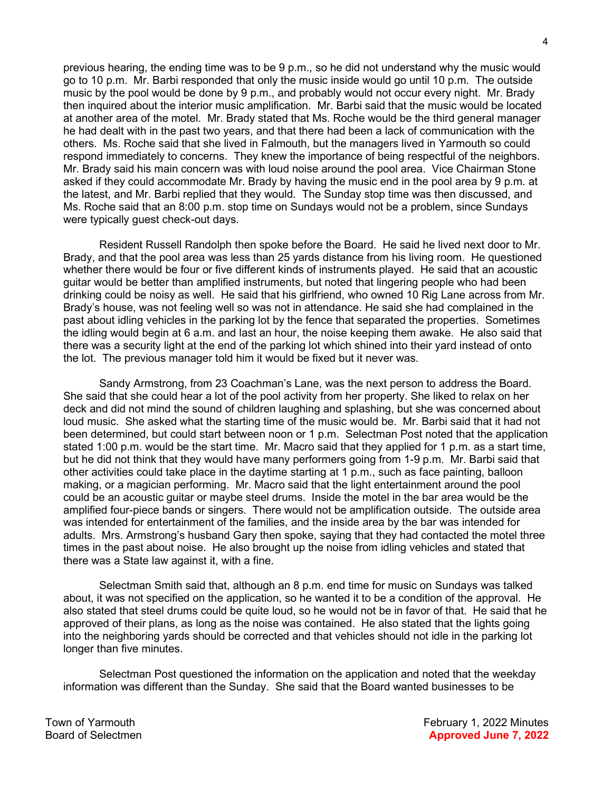previous hearing, the ending time was to be 9 p.m., so he did not understand why the music would go to 10 p.m. Mr. Barbi responded that only the music inside would go until 10 p.m. The outside music by the pool would be done by 9 p.m., and probably would not occur every night. Mr. Brady then inquired about the interior music amplification. Mr. Barbi said that the music would be located at another area of the motel. Mr. Brady stated that Ms. Roche would be the third general manager he had dealt with in the past two years, and that there had been a lack of communication with the others. Ms. Roche said that she lived in Falmouth, but the managers lived in Yarmouth so could respond immediately to concerns. They knew the importance of being respectful of the neighbors. Mr. Brady said his main concern was with loud noise around the pool area. Vice Chairman Stone asked if they could accommodate Mr. Brady by having the music end in the pool area by 9 p.m. at the latest, and Mr. Barbi replied that they would. The Sunday stop time was then discussed, and Ms. Roche said that an 8:00 p.m. stop time on Sundays would not be a problem, since Sundays were typically guest check-out days.

Resident Russell Randolph then spoke before the Board. He said he lived next door to Mr. Brady, and that the pool area was less than 25 yards distance from his living room. He questioned whether there would be four or five different kinds of instruments played. He said that an acoustic guitar would be better than amplified instruments, but noted that lingering people who had been drinking could be noisy as well. He said that his girlfriend, who owned 10 Rig Lane across from Mr. Brady's house, was not feeling well so was not in attendance. He said she had complained in the past about idling vehicles in the parking lot by the fence that separated the properties. Sometimes the idling would begin at 6 a.m. and last an hour, the noise keeping them awake. He also said that there was a security light at the end of the parking lot which shined into their yard instead of onto the lot. The previous manager told him it would be fixed but it never was.

Sandy Armstrong, from 23 Coachman's Lane, was the next person to address the Board. She said that she could hear a lot of the pool activity from her property. She liked to relax on her deck and did not mind the sound of children laughing and splashing, but she was concerned about loud music. She asked what the starting time of the music would be. Mr. Barbi said that it had not been determined, but could start between noon or 1 p.m. Selectman Post noted that the application stated 1:00 p.m. would be the start time. Mr. Macro said that they applied for 1 p.m. as a start time, but he did not think that they would have many performers going from 1-9 p.m. Mr. Barbi said that other activities could take place in the daytime starting at 1 p.m., such as face painting, balloon making, or a magician performing. Mr. Macro said that the light entertainment around the pool could be an acoustic guitar or maybe steel drums. Inside the motel in the bar area would be the amplified four-piece bands or singers. There would not be amplification outside. The outside area was intended for entertainment of the families, and the inside area by the bar was intended for adults. Mrs. Armstrong's husband Gary then spoke, saying that they had contacted the motel three times in the past about noise. He also brought up the noise from idling vehicles and stated that there was a State law against it, with a fine.

Selectman Smith said that, although an 8 p.m. end time for music on Sundays was talked about, it was not specified on the application, so he wanted it to be a condition of the approval. He also stated that steel drums could be quite loud, so he would not be in favor of that. He said that he approved of their plans, as long as the noise was contained. He also stated that the lights going into the neighboring yards should be corrected and that vehicles should not idle in the parking lot longer than five minutes.

Selectman Post questioned the information on the application and noted that the weekday information was different than the Sunday. She said that the Board wanted businesses to be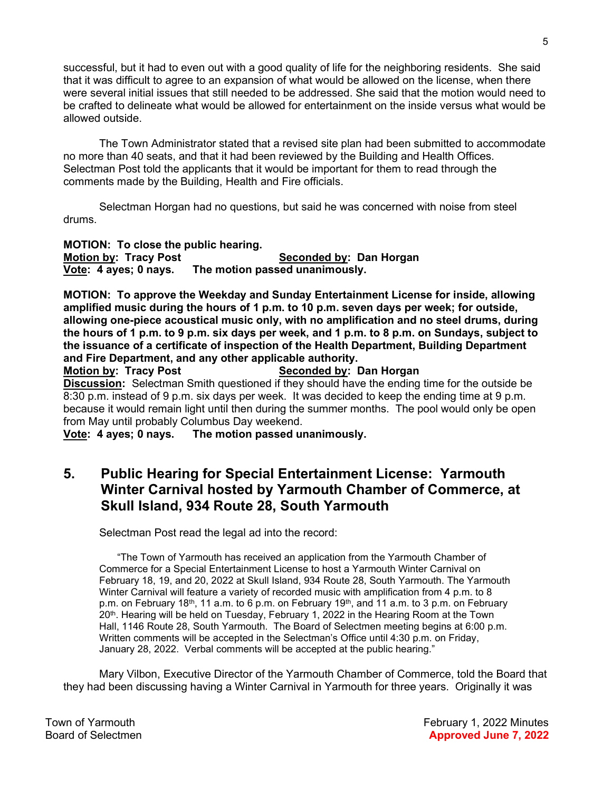successful, but it had to even out with a good quality of life for the neighboring residents. She said that it was difficult to agree to an expansion of what would be allowed on the license, when there were several initial issues that still needed to be addressed. She said that the motion would need to be crafted to delineate what would be allowed for entertainment on the inside versus what would be allowed outside.

The Town Administrator stated that a revised site plan had been submitted to accommodate no more than 40 seats, and that it had been reviewed by the Building and Health Offices. Selectman Post told the applicants that it would be important for them to read through the comments made by the Building, Health and Fire officials.

Selectman Horgan had no questions, but said he was concerned with noise from steel drums.

MOTION: To close the public hearing. Motion by: Tracy Post Seconded by: Dan Horgan Vote: 4 ayes; 0 nays. The motion passed unanimously.

MOTION: To approve the Weekday and Sunday Entertainment License for inside, allowing amplified music during the hours of 1 p.m. to 10 p.m. seven days per week; for outside, allowing one-piece acoustical music only, with no amplification and no steel drums, during the hours of 1 p.m. to 9 p.m. six days per week, and 1 p.m. to 8 p.m. on Sundays, subject to the issuance of a certificate of inspection of the Health Department, Building Department and Fire Department, and any other applicable authority.

Motion by: Tracy Post Seconded by: Dan Horgan **Discussion:** Selectman Smith questioned if they should have the ending time for the outside be 8:30 p.m. instead of 9 p.m. six days per week. It was decided to keep the ending time at 9 p.m. because it would remain light until then during the summer months. The pool would only be open from May until probably Columbus Day weekend.

Vote: 4 ayes; 0 nays. The motion passed unanimously.

## 5. Public Hearing for Special Entertainment License: Yarmouth Winter Carnival hosted by Yarmouth Chamber of Commerce, at Skull Island, 934 Route 28, South Yarmouth

Selectman Post read the legal ad into the record:

"The Town of Yarmouth has received an application from the Yarmouth Chamber of Commerce for a Special Entertainment License to host a Yarmouth Winter Carnival on February 18, 19, and 20, 2022 at Skull Island, 934 Route 28, South Yarmouth. The Yarmouth Winter Carnival will feature a variety of recorded music with amplification from 4 p.m. to 8 p.m. on February 18<sup>th</sup>, 11 a.m. to 6 p.m. on February 19<sup>th</sup>, and 11 a.m. to 3 p.m. on February 20<sup>th</sup>. Hearing will be held on Tuesday, February 1, 2022 in the Hearing Room at the Town Hall, 1146 Route 28, South Yarmouth. The Board of Selectmen meeting begins at 6:00 p.m. Written comments will be accepted in the Selectman's Office until 4:30 p.m. on Friday, January 28, 2022. Verbal comments will be accepted at the public hearing."

Mary Vilbon, Executive Director of the Yarmouth Chamber of Commerce, told the Board that they had been discussing having a Winter Carnival in Yarmouth for three years. Originally it was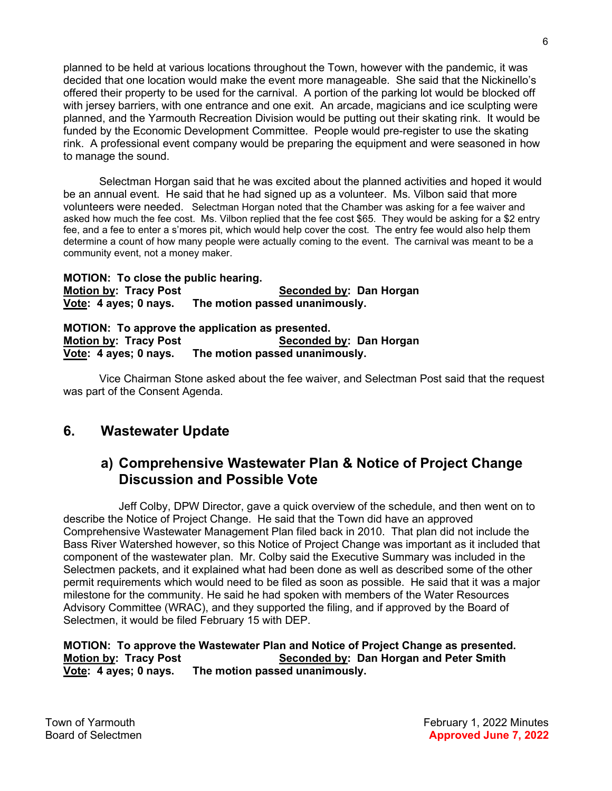planned to be held at various locations throughout the Town, however with the pandemic, it was decided that one location would make the event more manageable. She said that the Nickinello's offered their property to be used for the carnival. A portion of the parking lot would be blocked off with jersey barriers, with one entrance and one exit. An arcade, magicians and ice sculpting were planned, and the Yarmouth Recreation Division would be putting out their skating rink. It would be funded by the Economic Development Committee. People would pre-register to use the skating rink. A professional event company would be preparing the equipment and were seasoned in how to manage the sound.

Selectman Horgan said that he was excited about the planned activities and hoped it would be an annual event. He said that he had signed up as a volunteer. Ms. Vilbon said that more volunteers were needed. Selectman Horgan noted that the Chamber was asking for a fee waiver and asked how much the fee cost. Ms. Vilbon replied that the fee cost \$65. They would be asking for a \$2 entry fee, and a fee to enter a s'mores pit, which would help cover the cost. The entry fee would also help them determine a count of how many people were actually coming to the event. The carnival was meant to be a community event, not a money maker.

MOTION: To close the public hearing. Motion by: Tracy Post Seconded by: Dan Horgan Vote: 4 ayes; 0 nays. The motion passed unanimously.

MOTION: To approve the application as presented. Motion by: Tracy Post Seconded by: Dan Horgan Vote: 4 ayes; 0 nays. The motion passed unanimously.

 Vice Chairman Stone asked about the fee waiver, and Selectman Post said that the request was part of the Consent Agenda.

# 6. Wastewater Update

## a) Comprehensive Wastewater Plan & Notice of Project Change Discussion and Possible Vote

Jeff Colby, DPW Director, gave a quick overview of the schedule, and then went on to describe the Notice of Project Change. He said that the Town did have an approved Comprehensive Wastewater Management Plan filed back in 2010. That plan did not include the Bass River Watershed however, so this Notice of Project Change was important as it included that component of the wastewater plan. Mr. Colby said the Executive Summary was included in the Selectmen packets, and it explained what had been done as well as described some of the other permit requirements which would need to be filed as soon as possible. He said that it was a major milestone for the community. He said he had spoken with members of the Water Resources Advisory Committee (WRAC), and they supported the filing, and if approved by the Board of Selectmen, it would be filed February 15 with DEP.

### MOTION: To approve the Wastewater Plan and Notice of Project Change as presented. Motion by: Tracy Post Seconded by: Dan Horgan and Peter Smith Vote: 4 ayes; 0 nays. The motion passed unanimously.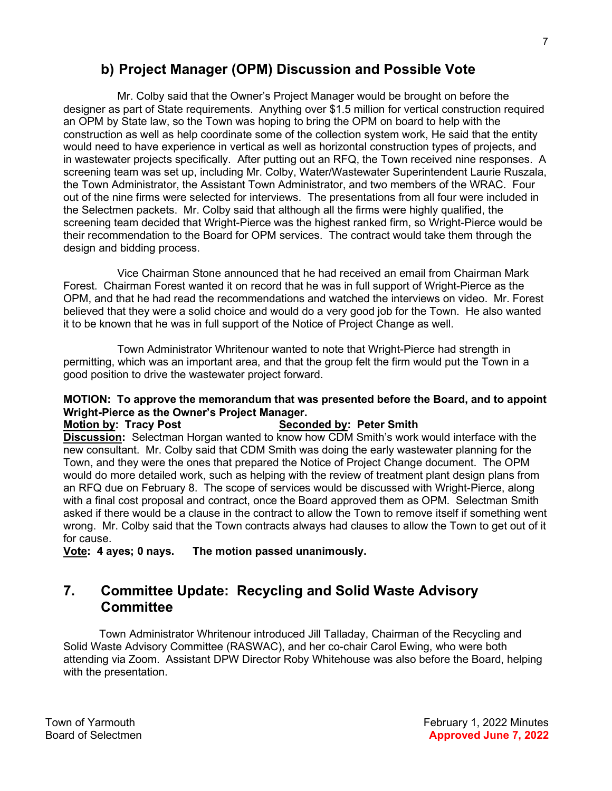# b) Project Manager (OPM) Discussion and Possible Vote

Mr. Colby said that the Owner's Project Manager would be brought on before the designer as part of State requirements. Anything over \$1.5 million for vertical construction required an OPM by State law, so the Town was hoping to bring the OPM on board to help with the construction as well as help coordinate some of the collection system work, He said that the entity would need to have experience in vertical as well as horizontal construction types of projects, and in wastewater projects specifically. After putting out an RFQ, the Town received nine responses. A screening team was set up, including Mr. Colby, Water/Wastewater Superintendent Laurie Ruszala, the Town Administrator, the Assistant Town Administrator, and two members of the WRAC. Four out of the nine firms were selected for interviews. The presentations from all four were included in the Selectmen packets. Mr. Colby said that although all the firms were highly qualified, the screening team decided that Wright-Pierce was the highest ranked firm, so Wright-Pierce would be their recommendation to the Board for OPM services. The contract would take them through the design and bidding process.

Vice Chairman Stone announced that he had received an email from Chairman Mark Forest. Chairman Forest wanted it on record that he was in full support of Wright-Pierce as the OPM, and that he had read the recommendations and watched the interviews on video. Mr. Forest believed that they were a solid choice and would do a very good job for the Town. He also wanted it to be known that he was in full support of the Notice of Project Change as well.

Town Administrator Whritenour wanted to note that Wright-Pierce had strength in permitting, which was an important area, and that the group felt the firm would put the Town in a good position to drive the wastewater project forward.

### MOTION: To approve the memorandum that was presented before the Board, and to appoint Wright-Pierce as the Owner's Project Manager.

#### Motion by: Tracy Post Seconded by: Peter Smith

Discussion: Selectman Horgan wanted to know how CDM Smith's work would interface with the new consultant. Mr. Colby said that CDM Smith was doing the early wastewater planning for the Town, and they were the ones that prepared the Notice of Project Change document. The OPM would do more detailed work, such as helping with the review of treatment plant design plans from an RFQ due on February 8. The scope of services would be discussed with Wright-Pierce, along with a final cost proposal and contract, once the Board approved them as OPM. Selectman Smith asked if there would be a clause in the contract to allow the Town to remove itself if something went wrong. Mr. Colby said that the Town contracts always had clauses to allow the Town to get out of it for cause.

Vote: 4 ayes; 0 nays. The motion passed unanimously.

### 7. Committee Update: Recycling and Solid Waste Advisory **Committee**

Town Administrator Whritenour introduced Jill Talladay, Chairman of the Recycling and Solid Waste Advisory Committee (RASWAC), and her co-chair Carol Ewing, who were both attending via Zoom. Assistant DPW Director Roby Whitehouse was also before the Board, helping with the presentation.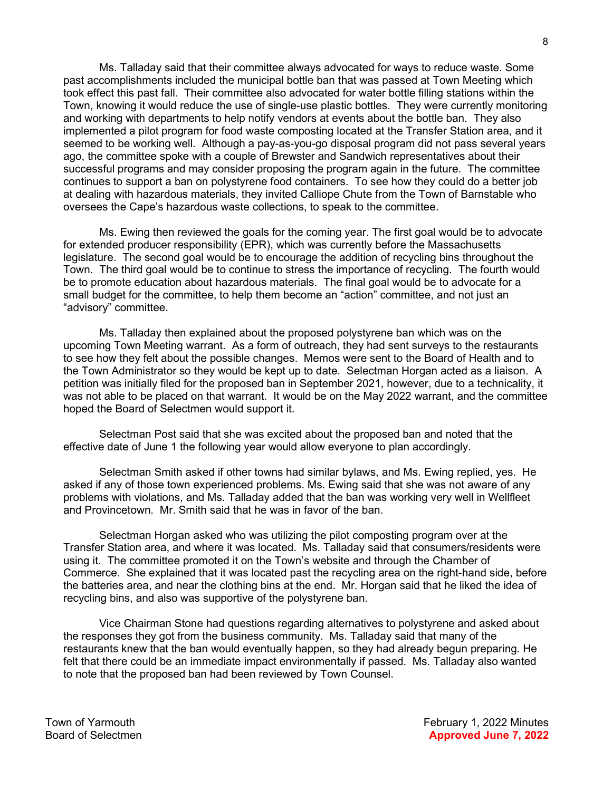Ms. Talladay said that their committee always advocated for ways to reduce waste. Some past accomplishments included the municipal bottle ban that was passed at Town Meeting which took effect this past fall. Their committee also advocated for water bottle filling stations within the Town, knowing it would reduce the use of single-use plastic bottles. They were currently monitoring and working with departments to help notify vendors at events about the bottle ban. They also implemented a pilot program for food waste composting located at the Transfer Station area, and it seemed to be working well. Although a pay-as-you-go disposal program did not pass several years ago, the committee spoke with a couple of Brewster and Sandwich representatives about their successful programs and may consider proposing the program again in the future. The committee continues to support a ban on polystyrene food containers. To see how they could do a better job at dealing with hazardous materials, they invited Calliope Chute from the Town of Barnstable who oversees the Cape's hazardous waste collections, to speak to the committee.

Ms. Ewing then reviewed the goals for the coming year. The first goal would be to advocate for extended producer responsibility (EPR), which was currently before the Massachusetts legislature. The second goal would be to encourage the addition of recycling bins throughout the Town. The third goal would be to continue to stress the importance of recycling. The fourth would be to promote education about hazardous materials. The final goal would be to advocate for a small budget for the committee, to help them become an "action" committee, and not just an "advisory" committee.

Ms. Talladay then explained about the proposed polystyrene ban which was on the upcoming Town Meeting warrant. As a form of outreach, they had sent surveys to the restaurants to see how they felt about the possible changes. Memos were sent to the Board of Health and to the Town Administrator so they would be kept up to date. Selectman Horgan acted as a liaison. A petition was initially filed for the proposed ban in September 2021, however, due to a technicality, it was not able to be placed on that warrant. It would be on the May 2022 warrant, and the committee hoped the Board of Selectmen would support it.

Selectman Post said that she was excited about the proposed ban and noted that the effective date of June 1 the following year would allow everyone to plan accordingly.

Selectman Smith asked if other towns had similar bylaws, and Ms. Ewing replied, yes. He asked if any of those town experienced problems. Ms. Ewing said that she was not aware of any problems with violations, and Ms. Talladay added that the ban was working very well in Wellfleet and Provincetown. Mr. Smith said that he was in favor of the ban.

Selectman Horgan asked who was utilizing the pilot composting program over at the Transfer Station area, and where it was located. Ms. Talladay said that consumers/residents were using it. The committee promoted it on the Town's website and through the Chamber of Commerce. She explained that it was located past the recycling area on the right-hand side, before the batteries area, and near the clothing bins at the end. Mr. Horgan said that he liked the idea of recycling bins, and also was supportive of the polystyrene ban.

Vice Chairman Stone had questions regarding alternatives to polystyrene and asked about the responses they got from the business community. Ms. Talladay said that many of the restaurants knew that the ban would eventually happen, so they had already begun preparing. He felt that there could be an immediate impact environmentally if passed. Ms. Talladay also wanted to note that the proposed ban had been reviewed by Town Counsel.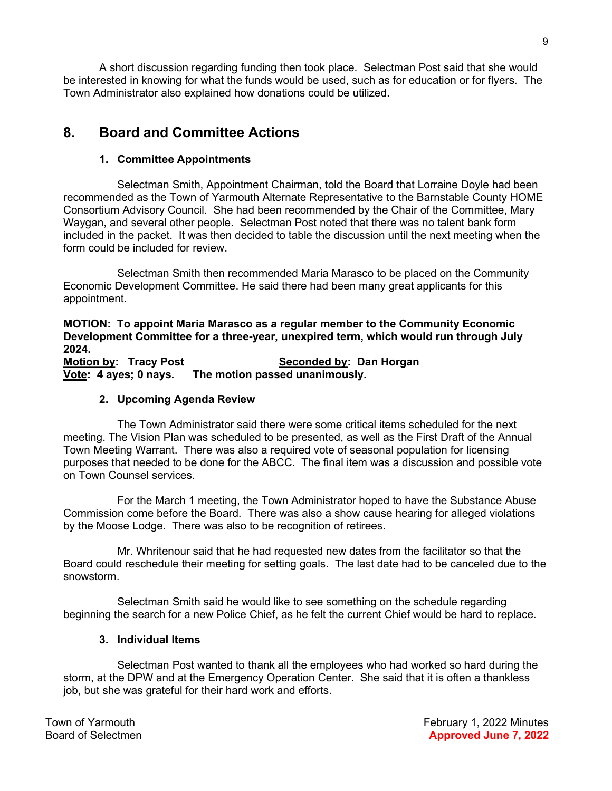A short discussion regarding funding then took place. Selectman Post said that she would be interested in knowing for what the funds would be used, such as for education or for flyers. The Town Administrator also explained how donations could be utilized.

# 8. Board and Committee Actions

### 1. Committee Appointments

Selectman Smith, Appointment Chairman, told the Board that Lorraine Doyle had been recommended as the Town of Yarmouth Alternate Representative to the Barnstable County HOME Consortium Advisory Council. She had been recommended by the Chair of the Committee, Mary Waygan, and several other people. Selectman Post noted that there was no talent bank form included in the packet. It was then decided to table the discussion until the next meeting when the form could be included for review.

Selectman Smith then recommended Maria Marasco to be placed on the Community Economic Development Committee. He said there had been many great applicants for this appointment.

MOTION: To appoint Maria Marasco as a regular member to the Community Economic Development Committee for a three-year, unexpired term, which would run through July 2024.

Motion by: Tracy Post Seconded by: Dan Horgan Vote: 4 ayes; 0 nays. The motion passed unanimously.

### 2. Upcoming Agenda Review

The Town Administrator said there were some critical items scheduled for the next meeting. The Vision Plan was scheduled to be presented, as well as the First Draft of the Annual Town Meeting Warrant. There was also a required vote of seasonal population for licensing purposes that needed to be done for the ABCC. The final item was a discussion and possible vote on Town Counsel services.

For the March 1 meeting, the Town Administrator hoped to have the Substance Abuse Commission come before the Board. There was also a show cause hearing for alleged violations by the Moose Lodge. There was also to be recognition of retirees.

Mr. Whritenour said that he had requested new dates from the facilitator so that the Board could reschedule their meeting for setting goals. The last date had to be canceled due to the snowstorm.

Selectman Smith said he would like to see something on the schedule regarding beginning the search for a new Police Chief, as he felt the current Chief would be hard to replace.

### 3. Individual Items

Selectman Post wanted to thank all the employees who had worked so hard during the storm, at the DPW and at the Emergency Operation Center. She said that it is often a thankless job, but she was grateful for their hard work and efforts.